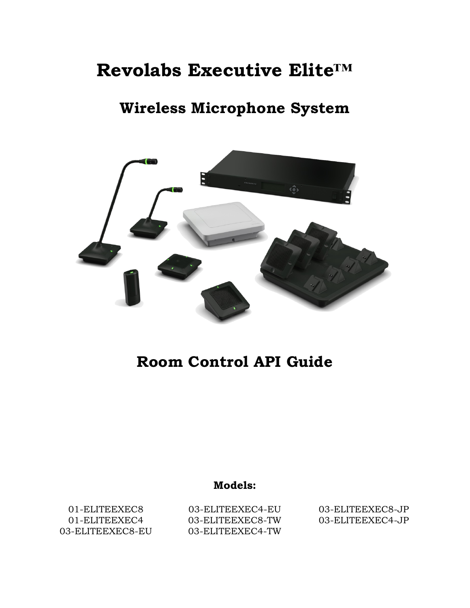# **Revolabs Executive Elite™**

## **Wireless Microphone System**



## **Room Control API Guide**

## **Models:**

01-ELITEEXEC8 01-ELITEEXEC4 03-ELITEEXEC8-EU

03-ELITEEXEC4-EU 03-ELITEEXEC8-TW 03-ELITEEXEC4-TW 03-ELITEEXEC8-JP 03-ELITEEXEC4-JP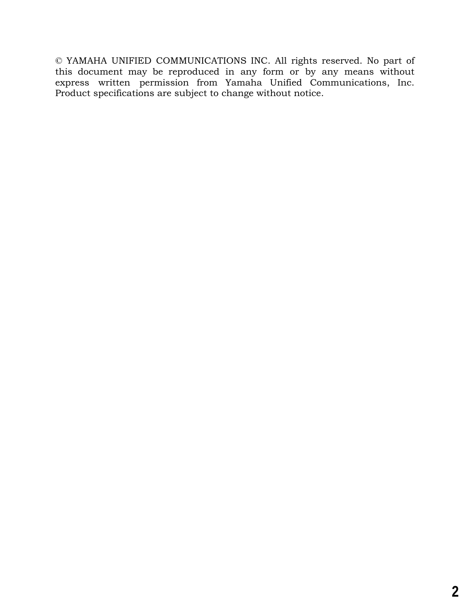© YAMAHA UNIFIED COMMUNICATIONS INC. All rights reserved. No part of this document may be reproduced in any form or by any means without express written permission from Yamaha Unified Communications, Inc. Product specifications are subject to change without notice.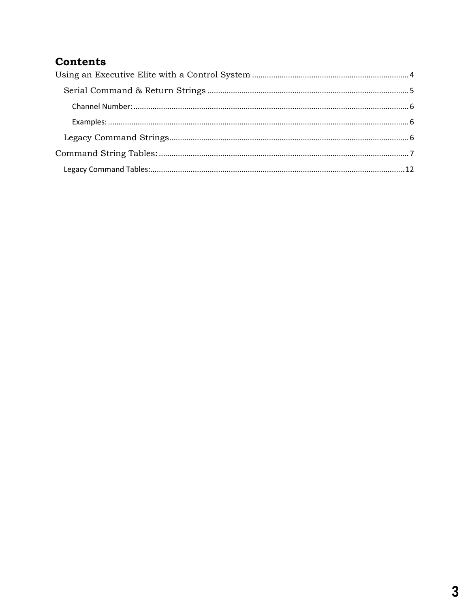### **Contents**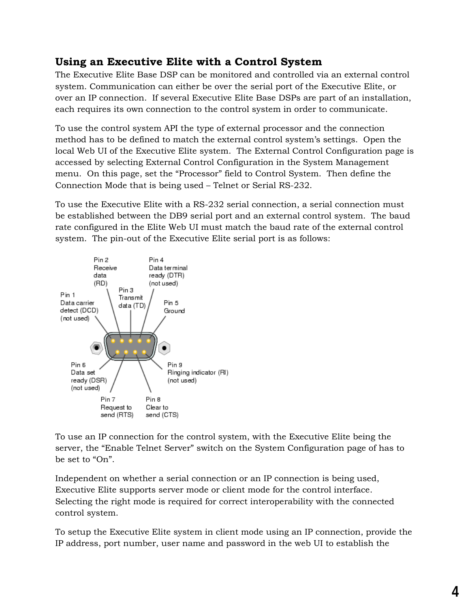### <span id="page-3-0"></span>**Using an Executive Elite with a Control System**

The Executive Elite Base DSP can be monitored and controlled via an external control system. Communication can either be over the serial port of the Executive Elite, or over an IP connection. If several Executive Elite Base DSPs are part of an installation, each requires its own connection to the control system in order to communicate.

To use the control system API the type of external processor and the connection method has to be defined to match the external control system's settings. Open the local Web UI of the Executive Elite system. The External Control Configuration page is accessed by selecting External Control Configuration in the System Management menu. On this page, set the "Processor" field to Control System. Then define the Connection Mode that is being used – Telnet or Serial RS-232.

To use the Executive Elite with a RS-232 serial connection, a serial connection must be established between the DB9 serial port and an external control system. The baud rate configured in the Elite Web UI must match the baud rate of the external control system. The pin-out of the Executive Elite serial port is as follows:



To use an IP connection for the control system, with the Executive Elite being the server, the "Enable Telnet Server" switch on the System Configuration page of has to be set to "On".

Independent on whether a serial connection or an IP connection is being used, Executive Elite supports server mode or client mode for the control interface. Selecting the right mode is required for correct interoperability with the connected control system.

To setup the Executive Elite system in client mode using an IP connection, provide the IP address, port number, user name and password in the web UI to establish the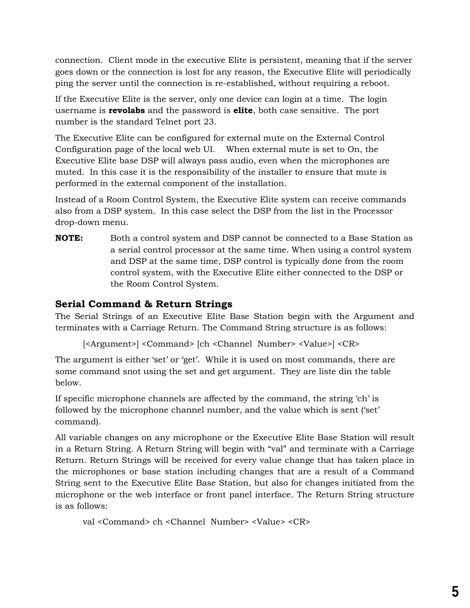connection. Client mode in the executive Elite is persistent, meaning that if the server goes down or the connection is lost for any reason, the Executive Elite will periodically ping the server until the connection is re-established, without requiring a reboot.

If the Executive Elite is the server, only one device can login at a time. The login username is **revolabs** and the password is **elite**, both case sensitive. The port number is the standard Telnet port 23.

The Executive Elite can be configured for external mute on the External Control Configuration page of the local web UI. When external mute is set to On, the Executive Elite base DSP will always pass audio, even when the microphones are muted. In this case it is the responsibility of the installer to ensure that mute is performed in the external component of the installation.

Instead of a Room Control System, the Executive Elite system can receive commands also from a DSP system. In this case select the DSP from the list in the Processor drop-down menu.

**NOTE:** Both a control system and DSP cannot be connected to a Base Station as a serial control processor at the same time. When using a control system and DSP at the same time, DSP control is typically done from the room control system, with the Executive Elite either connected to the DSP or the Room Control System.

#### <span id="page-4-0"></span>**Serial Command & Return Strings**

The Serial Strings of an Executive Elite Base Station begin with the Argument and terminates with a Carriage Return. The Command String structure is as follows:

[<Argument>] <Command> [ch <Channel Number> <Value>] <CR>

The argument is either 'set' or 'get'. While it is used on most commands, there are some command snot using the set and get argument. They are liste din the table below.

If specific microphone channels are affected by the command, the string 'ch' is followed by the microphone channel number, and the value which is sent ('set' command).

All variable changes on any microphone or the Executive Elite Base Station will result in a Return String. A Return String will begin with "val" and terminate with a Carriage Return. Return Strings will be received for every value change that has taken place in the microphones or base station including changes that are a result of a Command String sent to the Executive Elite Base Station, but also for changes initiated from the microphone or the web interface or front panel interface. The Return String structure is as follows:

```
val <Command> ch <Channel Number> <Value> <CR>
```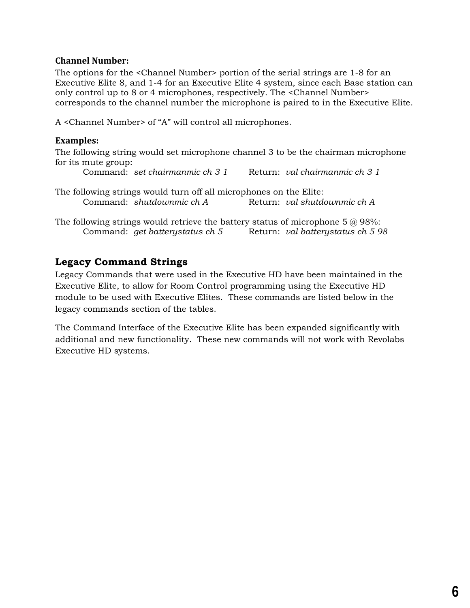#### <span id="page-5-0"></span>**Channel Number:**

The options for the <Channel Number> portion of the serial strings are 1-8 for an Executive Elite 8, and 1-4 for an Executive Elite 4 system, since each Base station can only control up to 8 or 4 microphones, respectively. The <Channel Number> corresponds to the channel number the microphone is paired to in the Executive Elite.

A <Channel Number> of "A" will control all microphones.

#### <span id="page-5-1"></span>**Examples:**

The following string would set microphone channel 3 to be the chairman microphone for its mute group:

Command: *set chairmanmic ch 3 1* Return: *val chairmanmic ch 3 1*

The following strings would turn off all microphones on the Elite: Command: *shutdownmic ch A* Return: *val shutdownmic ch A*

The following strings would retrieve the battery status of microphone 5  $@$  98%: Command: *get batterystatus ch 5* Return: *val batterystatus ch 5 98*

#### <span id="page-5-2"></span>**Legacy Command Strings**

Legacy Commands that were used in the Executive HD have been maintained in the Executive Elite, to allow for Room Control programming using the Executive HD module to be used with Executive Elites. These commands are listed below in the legacy commands section of the tables.

The Command Interface of the Executive Elite has been expanded significantly with additional and new functionality. These new commands will not work with Revolabs Executive HD systems.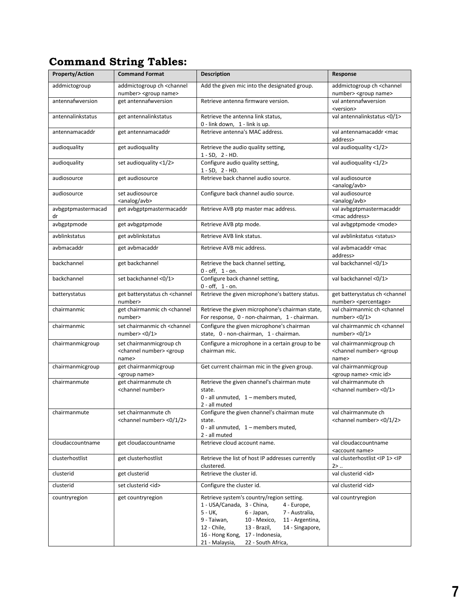## <span id="page-6-0"></span>**Command String Tables:**

| <b>Property/Action</b>   | <b>Command Format</b>                                                                  | <b>Description</b>                                                                                                                                                                                                                                                                                               | Response                                                                               |
|--------------------------|----------------------------------------------------------------------------------------|------------------------------------------------------------------------------------------------------------------------------------------------------------------------------------------------------------------------------------------------------------------------------------------------------------------|----------------------------------------------------------------------------------------|
| addmictogroup            | addmictogroup ch <channel<br>number&gt; <group name=""></group></channel<br>           | Add the given mic into the designated group.                                                                                                                                                                                                                                                                     | addmictogroup ch <channel<br>number&gt; <group name=""></group></channel<br>           |
| antennafwversion         | get antennafwversion                                                                   | Retrieve antenna firmware version.                                                                                                                                                                                                                                                                               | val antennafwversion<br><version></version>                                            |
| antennalinkstatus        | get antennalinkstatus                                                                  | Retrieve the antenna link status,<br>0 - link down, 1 - link is up.                                                                                                                                                                                                                                              | val antennalinkstatus <0/1>                                                            |
| antennamacaddr           | get antennamacaddr                                                                     | Retrieve antenna's MAC address.                                                                                                                                                                                                                                                                                  | val antennamacaddr <mac<br>address&gt;</mac<br>                                        |
| audioquality             | get audioquality                                                                       | Retrieve the audio quality setting,<br>$1 - SD, 2 - HD.$                                                                                                                                                                                                                                                         | val audioquality <1/2>                                                                 |
| audioquality             | set audioquality <1/2>                                                                 | Configure audio quality setting,<br>$1 - SD$ , $2 - HD$ .                                                                                                                                                                                                                                                        | val audioquality <1/2>                                                                 |
| audiosource              | get audiosource                                                                        | Retrieve back channel audio source.                                                                                                                                                                                                                                                                              | val audiosource<br><analog avb=""></analog>                                            |
| audiosource              | set audiosource<br><analog avb=""></analog>                                            | Configure back channel audio source.                                                                                                                                                                                                                                                                             | val audiosource<br><analog avb=""></analog>                                            |
| avbgptpmastermacad<br>dr | get avbgptpmastermacaddr                                                               | Retrieve AVB ptp master mac address.                                                                                                                                                                                                                                                                             | val avbgptpmastermacaddr<br><mac address=""></mac>                                     |
| avbgptpmode              | get avbgptpmode                                                                        | Retrieve AVB ptp mode.                                                                                                                                                                                                                                                                                           | val avbgptpmode <mode></mode>                                                          |
| avblinkstatus            | get avblinkstatus                                                                      | Retrieve AVB link status.                                                                                                                                                                                                                                                                                        | val avblinkstatus <status></status>                                                    |
| avbmacaddr               | get avbmacaddr                                                                         | Retrieve AVB mic address.                                                                                                                                                                                                                                                                                        | val avbmacaddr <mac<br>address&gt;</mac<br>                                            |
| backchannel              | get backchannel                                                                        | Retrieve the back channel setting,<br>$0 - off, 1 - on.$                                                                                                                                                                                                                                                         | val backchannel <0/1>                                                                  |
| backchannel              | set backchannel <0/1>                                                                  | Configure back channel setting,<br>$0 - off, 1 - on.$                                                                                                                                                                                                                                                            | val backchannel <0/1>                                                                  |
| batterystatus            | get batterystatus ch <channel<br>number&gt;</channel<br>                               | Retrieve the given microphone's battery status.                                                                                                                                                                                                                                                                  | get batterystatus ch <channel<br>number&gt; <percentage></percentage></channel<br>     |
| chairmanmic              | get chairmanmic ch <channel<br>number&gt;</channel<br>                                 | Retrieve the given microphone's chairman state,<br>For response, 0 - non-chairman, 1 - chairman.                                                                                                                                                                                                                 | val chairmanmic ch <channel<br>number <math>&lt;0/1</math></channel<br>                |
| chairmanmic              | set chairmanmic ch <channel<br>number <math>&lt;0/1</math></channel<br>                | Configure the given microphone's chairman<br>state, 0 - non-chairman, 1 - chairman.                                                                                                                                                                                                                              | val chairmanmic ch <channel<br>number <math>&lt;0/1</math></channel<br>                |
| chairmanmicgroup         | set chairmanmicgroup ch<br><channel number=""> <group<br>name&gt;</group<br></channel> | Configure a microphone in a certain group to be<br>chairman mic.                                                                                                                                                                                                                                                 | val chairmanmicgroup ch<br><channel number=""> <group<br>name&gt;</group<br></channel> |
| chairmanmicgroup         | get chairmanmicgroup<br><group name=""></group>                                        | Get current chairman mic in the given group.                                                                                                                                                                                                                                                                     | val chairmanmicgroup<br><group name=""> <mic id=""></mic></group>                      |
| chairmanmute             | get chairmanmute ch<br><channel number=""></channel>                                   | Retrieve the given channel's chairman mute<br>state.<br>0 - all unmuted, 1 - members muted,<br>2 - all muted                                                                                                                                                                                                     | val chairmanmute ch<br><channel number=""> &lt;0/1&gt;</channel>                       |
| chairmanmute             | set chairmanmute ch<br><channel number=""> &lt;0/1/2&gt;</channel>                     | Configure the given channel's chairman mute<br>state.<br>0 - all unmuted, 1 - members muted,<br>2 - all muted                                                                                                                                                                                                    | val chairmanmute ch<br><channel number=""> &lt;0/1/2&gt;</channel>                     |
| cloudaccountname         | get cloudaccountname                                                                   | Retrieve cloud account name.                                                                                                                                                                                                                                                                                     | val cloudaccountname<br><account name=""></account>                                    |
| clusterhostlist          | get clusterhostlist                                                                    | Retrieve the list of host IP addresses currently<br>clustered.                                                                                                                                                                                                                                                   | val clusterhostlist <ip 1=""> <ip<br>2 &gt; </ip<br></ip>                              |
| clusterid                | get clusterid                                                                          | Retrieve the cluster id.                                                                                                                                                                                                                                                                                         | val clusterid <id></id>                                                                |
| clusterid                | set clusterid <id></id>                                                                | Configure the cluster id.                                                                                                                                                                                                                                                                                        | val clusterid <id></id>                                                                |
| countryregion            | get countryregion                                                                      | Retrieve system's country/region setting.<br>1 - USA/Canada, 3 - China,<br>4 - Europe,<br>5 - UK,<br>6 - Japan,<br>7 - Australia,<br>9 - Taiwan,<br>10 - Mexico,<br>11 - Argentina,<br>12 - Chile,<br>13 - Brazil,<br>14 - Singapore,<br>16 - Hong Kong, 17 - Indonesia,<br>22 - South Africa,<br>21 - Malaysia, | val countryregion                                                                      |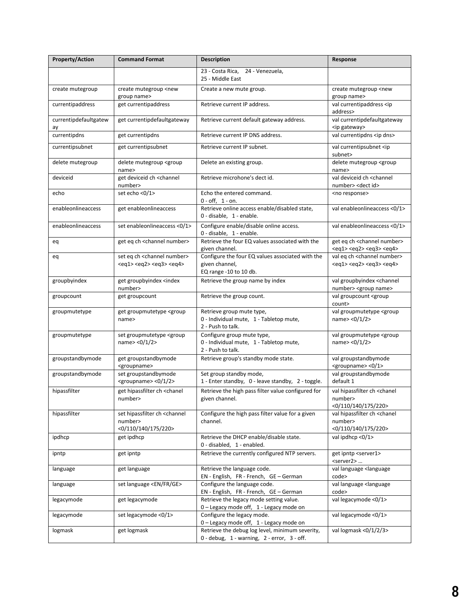| <b>Property/Action</b>      | <b>Command Format</b>                                                                                                                        | <b>Description</b>                                                                                     | Response                                                                                                                                     |
|-----------------------------|----------------------------------------------------------------------------------------------------------------------------------------------|--------------------------------------------------------------------------------------------------------|----------------------------------------------------------------------------------------------------------------------------------------------|
|                             |                                                                                                                                              | 23 - Costa Rica,<br>24 - Venezuela,<br>25 - Middle East                                                |                                                                                                                                              |
| create mutegroup            | create mutegroup <new<br>group name&gt;</new<br>                                                                                             | Create a new mute group.                                                                               | create mutegroup <new<br>group name&gt;</new<br>                                                                                             |
| currentipaddress            | get currentipaddress                                                                                                                         | Retrieve current IP address.                                                                           | val currentipaddress <ip<br>address&gt;</ip<br>                                                                                              |
| currentipdefaultgatew<br>ay | get currentipdefaultgateway                                                                                                                  | Retrieve current default gateway address.                                                              | val currentipdefaultgateway<br><ip gateway=""></ip>                                                                                          |
| currentipdns                | get currentipdns                                                                                                                             | Retrieve current IP DNS address.                                                                       | val currentipdns <ip dns=""></ip>                                                                                                            |
| currentipsubnet             | get currentipsubnet                                                                                                                          | Retrieve current IP subnet.                                                                            | val currentipsubnet <ip<br>subnet&gt;</ip<br>                                                                                                |
| delete mutegroup            | delete mutegroup <group<br>name&gt;</group<br>                                                                                               | Delete an existing group.                                                                              | delete mutegroup <group<br>name&gt;</group<br>                                                                                               |
| deviceid                    | get deviceid ch <channel<br>number&gt;</channel<br>                                                                                          | Retrieve microhone's dect id.                                                                          | val deviceid ch <channel<br>number&gt; <dect id=""></dect></channel<br>                                                                      |
| echo                        | set echo <0/1>                                                                                                                               | Echo the entered command.<br>$0 - off, 1 - on.$                                                        | <no response=""></no>                                                                                                                        |
| enableonlineaccess          | get enableonlineaccess                                                                                                                       | Retrieve online access enable/disabled state,<br>0 - disable, 1 - enable.                              | val enableonlineaccess <0/1>                                                                                                                 |
| enableonlineaccess          | set enableonlineaccess <0/1>                                                                                                                 | Configure enable/disable online access.<br>0 - disable, 1 - enable.                                    | val enableonlineaccess <0/1>                                                                                                                 |
| eq                          | get eq ch <channel number=""></channel>                                                                                                      | Retrieve the four EQ values associated with the<br>given channel.                                      | get eq ch <channel number=""><br/><math>&lt;</math>eq1&gt;<math>&lt;</math>eq2&gt;<math>&lt;</math>eq3&gt;<math>&lt;</math>eq4&gt;</channel> |
| eq                          | set eq ch <channel number=""><br/><math>&lt;</math>eq1&gt;<math>&lt;</math>eq2&gt;<math>&lt;</math>eq3&gt;<math>&lt;</math>eq4&gt;</channel> | Configure the four EQ values associated with the<br>given channel,<br>EQ range -10 to 10 db.           | val eq ch <channel number=""><br/><math>&lt;</math>eq1&gt;<math>&lt;</math>eq2&gt;<math>&lt;</math>eq3&gt;<math>&lt;</math>eq4&gt;</channel> |
| groupbyindex                | get groupbyindex <index<br>number&gt;</index<br>                                                                                             | Retrieve the group name by index                                                                       | val groupbyindex <channel<br>number&gt; <group name=""></group></channel<br>                                                                 |
| groupcount                  | get groupcount                                                                                                                               | Retrieve the group count.                                                                              | val groupcount <group<br>count&gt;</group<br>                                                                                                |
| groupmutetype               | get groupmutetype <group<br>name&gt;</group<br>                                                                                              | Retrieve group mute type,<br>0 - Individual mute, 1 - Tabletop mute,<br>2 - Push to talk.              | val groupmutetype <group<br>name&gt; &lt;0/1/2&gt;</group<br>                                                                                |
| groupmutetype               | set groupmutetype <group<br>name&gt; &lt;0/1/2&gt;</group<br>                                                                                | Configure group mute type,<br>0 - Individual mute, 1 - Tabletop mute,<br>2 - Push to talk.             | val groupmutetype <group<br>name&gt; &lt;0/1/2&gt;</group<br>                                                                                |
| groupstandbymode            | get groupstandbymode<br><groupname></groupname>                                                                                              | Retrieve group's standby mode state.                                                                   | val groupstandbymode<br><groupname> &lt;0/1&gt;</groupname>                                                                                  |
| groupstandbymode            | set groupstandbymode<br><groupname> &lt;0/1/2&gt;</groupname>                                                                                | Set group standby mode,<br>1 - Enter standby, 0 - leave standby, 2 - toggle.                           | val groupstandbymode<br>default 1                                                                                                            |
| hipassfilter                | get hipassfilter ch <chanel<br>number&gt;</chanel<br>                                                                                        | Retrieve the high pass filter value configured for<br>given channel.                                   | val hipassfilter ch <chanel<br>number&gt;<br/>&lt;0/110/140/175/220&gt;</chanel<br>                                                          |
| hipassfilter                | set hipassfilter ch <channel<br>number&gt;<br/>&lt;0/110/140/175/220&gt;</channel<br>                                                        | Configure the high pass filter value for a given<br>channel.                                           | val hipassfilter ch <chanel<br>number&gt;<br/>&lt;0/110/140/175/220&gt;</chanel<br>                                                          |
| ipdhcp                      | get ipdhcp                                                                                                                                   | Retrieve the DHCP enable/disable state.<br>0 - disabled, 1 - enabled.                                  | val ipdhcp <0/1>                                                                                                                             |
| ipntp                       | get ipntp                                                                                                                                    | Retrieve the currently configured NTP servers.                                                         | get ipntp <server1><br/><server2></server2></server1>                                                                                        |
| language                    | get language                                                                                                                                 | Retrieve the language code.<br>EN - English, FR - French, GE - German                                  | val language <language<br>code&gt;</language<br>                                                                                             |
| language                    | set language <en fr="" ge=""></en>                                                                                                           | Configure the language code.<br>EN - English, FR - French, GE - German                                 | val language <language<br>code&gt;</language<br>                                                                                             |
| legacymode                  | get legacymode                                                                                                                               | Retrieve the legacy mode setting value.<br>0 - Legacy mode off, 1 - Legacy mode on                     | val legacymode <0/1>                                                                                                                         |
| legacymode                  | set legacymode <0/1>                                                                                                                         | Configure the legacy mode.<br>0 - Legacy mode off, 1 - Legacy mode on                                  | val legacymode <0/1>                                                                                                                         |
| logmask                     | get logmask                                                                                                                                  | Retrieve the debug log level, minimum severity,<br>$0$ - debug, $1$ - warning, $2$ - error, $3$ - off. | val logmask <0/1/2/3>                                                                                                                        |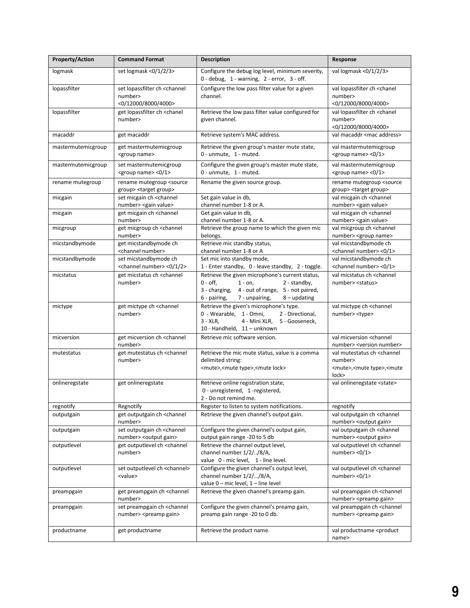| <b>Property/Action</b> | <b>Command Format</b>                                                                 | <b>Description</b>                                                                                                                                                                                     | Response                                                                                                                  |
|------------------------|---------------------------------------------------------------------------------------|--------------------------------------------------------------------------------------------------------------------------------------------------------------------------------------------------------|---------------------------------------------------------------------------------------------------------------------------|
| logmask                | set logmask <0/1/2/3>                                                                 | Configure the debug log level, minimum severity,<br>$0$ - debug, $1$ - warning, $2$ - error, $3$ - off.                                                                                                | val logmask <0/1/2/3>                                                                                                     |
| lopassfilter           | set lopassfilter ch <channel<br>number&gt;<br/>&lt;0/12000/8000/4000&gt;</channel<br> | Configure the low pass filter value for a given<br>channel.                                                                                                                                            | val lopassfilter ch <chanel<br>number&gt;<br/>&lt;0/12000/8000/4000&gt;</chanel<br>                                       |
| lopassfilter           | get lopassfilter ch <chanel<br>number&gt;</chanel<br>                                 | Retrieve the low pass filter value configured for<br>given channel.                                                                                                                                    | val lopassfilter ch <chanel<br>number&gt;<br/>&lt;0/12000/8000/4000&gt;</chanel<br>                                       |
| macaddr                | get macaddr                                                                           | Retrieve system's MAC address.                                                                                                                                                                         | val macaddr <mac address=""></mac>                                                                                        |
| mastermutemicgroup     | get mastermutemicgroup<br><group name=""></group>                                     | Retrieve the given group's master mute state,<br>0 - unmute, 1 - muted.                                                                                                                                | val mastermutemicgroup<br><group name=""> &lt;0/1&gt;</group>                                                             |
| mastermutemicgroup     | set mastermutemicgroup<br><group name=""> &lt;0/1&gt;</group>                         | Configure the given group's master mute state,<br>0 - unmute, 1 - muted.                                                                                                                               | val mastermutemicgroup<br><group name=""> &lt;0/1&gt;</group>                                                             |
| rename mutegroup       | rename mutegroup <source<br>group&gt; <target group=""></target></source<br>          | Rename the given source group.                                                                                                                                                                         | rename mutegroup <source<br>group&gt; <target group=""></target></source<br>                                              |
| micgain                | set micgain ch <channel<br>number&gt; <gain value=""></gain></channel<br>             | Set gain value in db,<br>channel number 1-8 or A.                                                                                                                                                      | val micgain ch <channel<br>number&gt; <gain value=""></gain></channel<br>                                                 |
| micgain                | get micgain ch <channel<br>number&gt;</channel<br>                                    | Get gain value in db,<br>channel number 1-8 or A.                                                                                                                                                      | val micgain ch <channel<br>number&gt; <gain value=""></gain></channel<br>                                                 |
| micgroup               | get micgroup ch <channel<br>number&gt;</channel<br>                                   | Retrieve the group name to which the given mic<br>belongs.                                                                                                                                             | val micgroup ch <channel<br>number&gt; <group name=""></group></channel<br>                                               |
| micstandbymode         | get micstandbymode ch<br><channel number=""></channel>                                | Retrieve mic standby status,<br>channel number 1-8 or A                                                                                                                                                | val micstandbymode ch<br><channel number=""> &lt;0/1&gt;</channel>                                                        |
| micstandbymode         | set micstandbymode ch<br><channel number=""> &lt;0/1/2&gt;</channel>                  | Set mic into standby mode,<br>1 - Enter standby, 0 - leave standby, 2 - toggle.                                                                                                                        | val micstandbymode ch<br><channel number=""> &lt;0/1&gt;</channel>                                                        |
| micstatus              | get micstatus ch <channel<br>number&gt;</channel<br>                                  | Retrieve the given microphone's current status,<br>$0 - off$ ,<br>2 - standby,<br>$1 - on$ ,<br>3 - charging,<br>4 - out of range, 5 - not paired,<br>6 - pairing,<br>7 - unpairing,<br>$8 -$ updating | val micstatus ch <channel<br>number&gt; <status></status></channel<br>                                                    |
| mictype                | get mictype ch <channel<br>number&gt;</channel<br>                                    | Retrieve the given's microphone's type.<br>0 - Wearable, 1 - Omni,<br>2 - Directional,<br>$3 - XLR$ ,<br>4 - Mini XLR, 5 - Gooseneck,<br>10 - Handheld, 11 - unknown                                   | val mictype ch <channel<br>number&gt; <type></type></channel<br>                                                          |
| micversion             | get micversion ch <channel<br>number&gt;</channel<br>                                 | Retrieve mic software version.                                                                                                                                                                         | val micversion <channel<br>number&gt; <version number=""></version></channel<br>                                          |
| mutestatus             | get mutestatus ch <channel<br>number&gt;</channel<br>                                 | Retrieve the mic mute status, value is a comma<br>delimited string:<br><mute>,<mute type="">,<mute lock=""></mute></mute></mute>                                                                       | val mutestatus ch <channel<br>number&gt;<br/><mute>,<mute type="">,<mute<br>lock&gt;</mute<br></mute></mute></channel<br> |
| onlineregstate         | get onlineregstate                                                                    | Retrieve online registration state,<br>0 - unregistered, 1 -registered,<br>2 - Do not remind me.                                                                                                       | val onlineregstate <state></state>                                                                                        |
| regnotify              | Regnotify                                                                             | Register to listen to system notifications.                                                                                                                                                            | regnotify                                                                                                                 |
| outputgain             | get outputgain ch <channel<br>number&gt;</channel<br>                                 | Retrieve the given channel's output gain.                                                                                                                                                              | val outputgain ch <channel<br>number&gt; <output gain=""></output></channel<br>                                           |
| outputgain             | set outputgain ch <channel<br>number&gt; <output gain=""></output></channel<br>       | Configure the given channel's output gain,<br>output gain range -20 to 5 db                                                                                                                            | val outputgain ch <channel<br>number&gt; <output gain=""></output></channel<br>                                           |
| outputlevel            | get outputlevel ch <channel<br>number&gt;</channel<br>                                | Retrieve the channel output level,<br>channel number 1/2//8/A,<br>value 0 - mic level, 1 - line level.                                                                                                 | val outputlevel ch <channel<br>number&gt; &lt;0/1&gt;</channel<br>                                                        |
| outputlevel            | set outputlevel ch <channel><br/><value></value></channel>                            | Configure the given channel's output level,<br>channel number 1/2//8/A,<br>value 0 - mic level, 1 - line level                                                                                         | val outputlevel ch <channel<br>number <math>&lt;0/1&gt;</math></channel<br>                                               |
| preampgain             | get preampgain ch <channel<br>number&gt;</channel<br>                                 | Retrieve the given channel's preamp gain.                                                                                                                                                              | val preampgain ch <channel<br>number&gt; <preamp gain=""></preamp></channel<br>                                           |
| preampgain             | set preampgain ch <channel<br>number&gt; <preamp gain=""></preamp></channel<br>       | Configure the given channel's preamp gain,<br>preamp gain range -20 to 0 db.                                                                                                                           | val preampgain ch <channel<br>number&gt; <preamp gain=""></preamp></channel<br>                                           |
| productname            | get productname                                                                       | Retrieve the product name.                                                                                                                                                                             | val productname <product<br>name&gt;</product<br>                                                                         |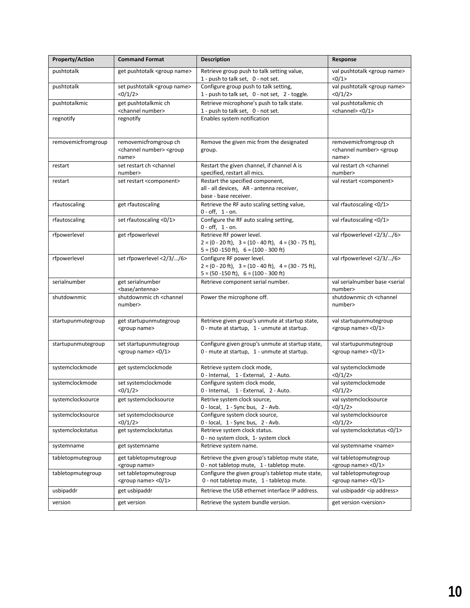| <b>Property/Action</b> | <b>Command Format</b>                                                                                                                            | <b>Description</b>                                                                                                                                  | Response                                                      |
|------------------------|--------------------------------------------------------------------------------------------------------------------------------------------------|-----------------------------------------------------------------------------------------------------------------------------------------------------|---------------------------------------------------------------|
| pushtotalk             | get pushtotalk <group name=""></group>                                                                                                           | Retrieve group push to talk setting value,                                                                                                          | val pushtotalk <group name=""></group>                        |
| pushtotalk             | set pushtotalk <group name=""></group>                                                                                                           | 1 - push to talk set, 0 - not set.<br>Configure group push to talk setting,                                                                         | <0/1><br>val pushtotalk <group name=""></group>               |
|                        | <0/1/2>                                                                                                                                          | 1 - push to talk set, 0 - not set, 2 - toggle.                                                                                                      | <0/1/2>                                                       |
| pushtotalkmic          | get pushtotalkmic ch                                                                                                                             | Retrieve microphone's push to talk state.                                                                                                           | val pushtotalkmic ch                                          |
|                        | <channel number=""></channel>                                                                                                                    | 1 - push to talk set, 0 - not set.                                                                                                                  | <channel> &lt;0/1&gt;</channel>                               |
| regnotify              | regnotify                                                                                                                                        | Enables system notification                                                                                                                         |                                                               |
| removemicfromgroup     | removemicfromgroup ch                                                                                                                            | Remove the given mic from the designated                                                                                                            | removemicfromgroup ch                                         |
|                        | <channel number=""> <group<br>name&gt;</group<br></channel>                                                                                      | group.                                                                                                                                              | <channel number=""> <group<br>name&gt;</group<br></channel>   |
| restart                | set restart ch <channel< td=""><td>Restart the given channel, if channel A is</td><td>val restart ch <channel< td=""></channel<></td></channel<> | Restart the given channel, if channel A is                                                                                                          | val restart ch <channel< td=""></channel<>                    |
|                        | number>                                                                                                                                          | specified, restart all mics.                                                                                                                        | number>                                                       |
| restart                | set restart <component></component>                                                                                                              | Restart the specified component,                                                                                                                    | val restart <component></component>                           |
|                        |                                                                                                                                                  | all - all devices, AR - antenna receiver,<br>base - base receiver.                                                                                  |                                                               |
| rfautoscaling          | get rfautoscaling                                                                                                                                | Retrieve the RF auto scaling setting value,                                                                                                         | val rfautoscaling <0/1>                                       |
|                        |                                                                                                                                                  | $0 - off, 1 - on.$                                                                                                                                  |                                                               |
| rfautoscaling          | set rfautoscaling <0/1>                                                                                                                          | Configure the RF auto scaling setting,<br>$0 - off, 1 - on.$                                                                                        | val rfautoscaling <0/1>                                       |
| rfpowerlevel           | get rfpowerlevel                                                                                                                                 | Retrieve RF power level.                                                                                                                            | val rfpowerlevel <2/3//6>                                     |
|                        |                                                                                                                                                  | $2 = (0 - 20 \text{ ft}), 3 = (10 - 40 \text{ ft}), 4 = (30 - 75 \text{ ft}),$                                                                      |                                                               |
|                        |                                                                                                                                                  | $5 = (50 - 150 \text{ ft})$ , $6 = (100 - 300 \text{ ft})$                                                                                          |                                                               |
| rfpowerlevel           | set rfpowerlevel <2/3//6>                                                                                                                        | Configure RF power level.                                                                                                                           | val rfpowerlevel <2/3//6>                                     |
|                        |                                                                                                                                                  | $2 = (0 - 20 \text{ ft})$ , $3 = (10 - 40 \text{ ft})$ , $4 = (30 - 75 \text{ ft})$ ,<br>$5 = (50 - 150 \text{ ft})$ , $6 = (100 - 300 \text{ ft})$ |                                                               |
| serialnumber           | get serialnumber                                                                                                                                 | Retrieve component serial number.                                                                                                                   | val serialnumber base <serial< td=""></serial<>               |
|                        | <base antenna=""/>                                                                                                                               |                                                                                                                                                     | number>                                                       |
| shutdownmic            | shutdownmic ch <channel< td=""><td>Power the microphone off.</td><td>shutdownmic ch <channel< td=""></channel<></td></channel<>                  | Power the microphone off.                                                                                                                           | shutdownmic ch <channel< td=""></channel<>                    |
|                        | number>                                                                                                                                          |                                                                                                                                                     | number>                                                       |
| startupunmutegroup     | get startupunmutegroup                                                                                                                           | Retrieve given group's unmute at startup state,                                                                                                     | val startupunmutegroup                                        |
|                        | <group name=""></group>                                                                                                                          | 0 - mute at startup, 1 - unmute at startup.                                                                                                         | <group name=""> &lt;0/1&gt;</group>                           |
| startupunmutegroup     | set startupunmutegroup                                                                                                                           | Configure given group's unmute at startup state,                                                                                                    | val startupunmutegroup                                        |
|                        | <group name=""> &lt;0/1&gt;</group>                                                                                                              | 0 - mute at startup, 1 - unmute at startup.                                                                                                         | <group name=""> &lt;0/1&gt;</group>                           |
|                        |                                                                                                                                                  |                                                                                                                                                     |                                                               |
| systemclockmode        | get systemclockmode                                                                                                                              | Retrieve system clock mode,<br>0 - Internal, 1 - External, 2 - Auto.                                                                                | val systemclockmode<br><0/1/2>                                |
| systemclockmode        | set systemclockmode                                                                                                                              | Configure system clock mode,                                                                                                                        | val systemclockmode                                           |
|                        | <0/1/2>                                                                                                                                          | 0 - Internal, 1 - External, 2 - Auto.                                                                                                               | <0/1/2>                                                       |
| systemclocksource      | get systemclocksource                                                                                                                            | Retrive system clock source,                                                                                                                        | val systemclocksource                                         |
| systemclocksource      | set systemclocksource                                                                                                                            | 0 - local, 1 - Sync bus, 2 - Avb.<br>Configure system clock source,                                                                                 | <0/1/2>                                                       |
|                        | <0/1/2>                                                                                                                                          | 0 - local, 1 - Sync bus, 2 - Avb.                                                                                                                   | val systemclocksource<br><0/1/2>                              |
| systemclockstatus      | get systemclockstatus                                                                                                                            | Retrieve system clock status.                                                                                                                       | val systemclockstatus <0/1>                                   |
|                        |                                                                                                                                                  | 0 - no system clock, 1- system clock                                                                                                                |                                                               |
| systemname             | get systemname                                                                                                                                   | Retrieve system name.                                                                                                                               | val systemname <name></name>                                  |
| tabletopmutegroup      | get tabletopmutegroup                                                                                                                            | Retrieve the given group's tabletop mute state,                                                                                                     | val tabletopmutegroup                                         |
| tabletopmutegroup      | <group name=""><br/>set tabletopmutegroup</group>                                                                                                | 0 - not tabletop mute, 1 - tabletop mute.<br>Configure the given group's tabletop mute state,                                                       | <group name=""> &lt;0/1&gt;<br/>val tabletopmutegroup</group> |
|                        | <group name=""> &lt;0/1&gt;</group>                                                                                                              | 0 - not tabletop mute, 1 - tabletop mute.                                                                                                           | <group name=""> &lt;0/1&gt;</group>                           |
| usbipaddr              | get usbipaddr                                                                                                                                    | Retrieve the USB ethernet interface IP address.                                                                                                     | val usbipaddr <ip address=""></ip>                            |
| version                | get version                                                                                                                                      | Retrieve the system bundle version.                                                                                                                 | get version <version></version>                               |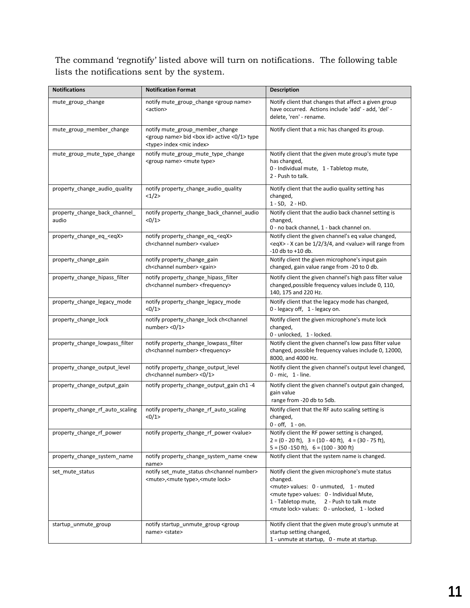The command 'regnotify' listed above will turn on notifications. The following table lists the notifications sent by the system.

| <b>Notifications</b>                   | <b>Notification Format</b>                                                                                                                            | <b>Description</b>                                                                                                                                                                                                                                                              |  |
|----------------------------------------|-------------------------------------------------------------------------------------------------------------------------------------------------------|---------------------------------------------------------------------------------------------------------------------------------------------------------------------------------------------------------------------------------------------------------------------------------|--|
| mute_group_change                      | notify mute_group_change <group name=""><br/><action></action></group>                                                                                | Notify client that changes that affect a given group<br>have occurred. Actions include 'add' - add, 'del' -<br>delete, 'ren' - rename.                                                                                                                                          |  |
| mute_group_member_change               | notify mute_group_member_change<br><group name=""> bid <box id=""> active &lt;0/1&gt; type<br/><type> index <mic index=""></mic></type></box></group> | Notify client that a mic has changed its group.                                                                                                                                                                                                                                 |  |
| mute_group_mute_type_change            | notify mute_group_mute_type_change<br><group name=""> <mute type=""></mute></group>                                                                   | Notify client that the given mute group's mute type<br>has changed,<br>0 - Individual mute, 1 - Tabletop mute,<br>2 - Push to talk.                                                                                                                                             |  |
| property_change_audio_quality          | notify property_change_audio_quality<br><1/2>                                                                                                         | Notify client that the audio quality setting has<br>changed,<br>$1 - SD$ , $2 - HD$ .                                                                                                                                                                                           |  |
| property_change_back_channel_<br>audio | notify property_change_back_channel_audio<br><0/1>                                                                                                    | Notify client that the audio back channel setting is<br>changed,<br>0 - no back channel, 1 - back channel on.                                                                                                                                                                   |  |
| property_change_eq_ <eqx></eqx>        | notify property_change_eq_ <eqx><br/>ch<channel number=""> <value></value></channel></eqx>                                                            | Notify client the given channel's eq value changed,<br><eqx> - X can be 1/2/3/4, and <value> will range from<br/><math>-10</math> db to <math>+10</math> db.</value></eqx>                                                                                                      |  |
| property_change_gain                   | notify property_change_gain<br>ch <channel number=""> <gain></gain></channel>                                                                         | Notify client the given microphone's input gain<br>changed, gain value range from -20 to 0 db.                                                                                                                                                                                  |  |
| property_change_hipass_filter          | notify property_change_hipass_filter<br>ch <channel number=""> <frequency></frequency></channel>                                                      | Notify client the given channel's high pass filter value<br>changed, possible frequency values include 0, 110,<br>140, 175 and 220 Hz.                                                                                                                                          |  |
| property_change_legacy_mode            | notify property_change_legacy_mode<br><0/1>                                                                                                           | Notify client that the legacy mode has changed,<br>0 - legacy off, 1 - legacy on.                                                                                                                                                                                               |  |
| property_change_lock                   | notify property_change_lock ch <channel<br>number&gt; &lt;0/1&gt;</channel<br>                                                                        | Notify client the given microphone's mute lock<br>changed,<br>0 - unlocked, 1 - locked.                                                                                                                                                                                         |  |
| property_change_lowpass_filter         | notify property_change_lowpass_filter<br>ch <channel number=""> <frequency></frequency></channel>                                                     | Notify client the given channel's low pass filter value<br>changed, possible frequency values include 0, 12000,<br>8000, and 4000 Hz.                                                                                                                                           |  |
| property_change_output_level           | notify property_change_output_level<br>ch <channel number=""> &lt;0/1&gt;</channel>                                                                   | Notify client the given channel's output level changed,<br>0 - mic, 1 - line.                                                                                                                                                                                                   |  |
| property change output gain            | notify property_change_output_gain ch1-4                                                                                                              | Notify client the given channel's output gain changed,<br>gain value<br>range from -20 db to 5db.                                                                                                                                                                               |  |
| property_change_rf_auto_scaling        | notify property_change_rf_auto_scaling<br><0/1>                                                                                                       | Notify client that the RF auto scaling setting is<br>changed,<br>$0 - off, 1 - on.$                                                                                                                                                                                             |  |
| property_change_rf_power               | notify property change rf power <value></value>                                                                                                       | Notify client the RF power setting is changed,<br>$2 = (0 - 20$ ft), $3 = (10 - 40)$ ft), $4 = (30 - 75)$ ft),<br>$5 = (50 - 150 \text{ ft})$ , $6 = (100 - 300 \text{ ft})$                                                                                                    |  |
| property change system name            | notify property_change_system_name <new<br>name&gt;</new<br>                                                                                          | Notify client that the system name is changed.                                                                                                                                                                                                                                  |  |
| set_mute_status                        | notify set_mute_status ch <channel number=""><br/><mute>,<mute type="">,<mute lock=""></mute></mute></mute></channel>                                 | Notify client the given microphone's mute status<br>changed.<br><mute> values: 0 - unmuted, 1 - muted<br/><mute type=""> values: 0 - Individual Mute,<br/>1 - Tabletop mute,<br/>2 - Push to talk mute<br/><mute lock=""> values: 0 - unlocked, 1 - locked</mute></mute></mute> |  |
| startup_unmute_group                   | notify startup_unmute_group <group<br>name&gt; <state></state></group<br>                                                                             | Notify client that the given mute group's unmute at<br>startup setting changed,<br>1 - unmute at startup, 0 - mute at startup.                                                                                                                                                  |  |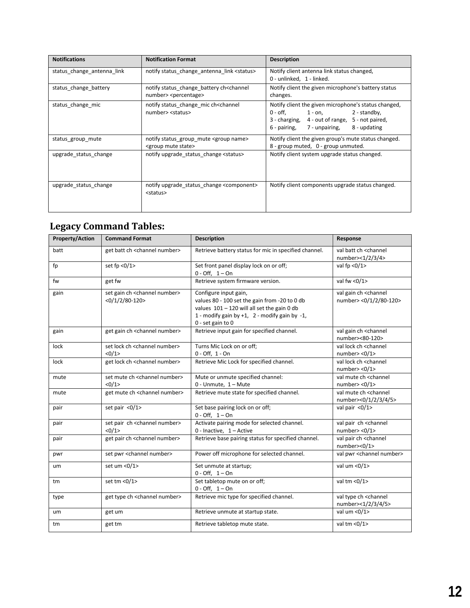| <b>Notifications</b>       | <b>Notification Format</b>                                                                    | <b>Description</b>                                                                                                                                                                                |  |
|----------------------------|-----------------------------------------------------------------------------------------------|---------------------------------------------------------------------------------------------------------------------------------------------------------------------------------------------------|--|
| status change antenna link | notify status change antenna link <status></status>                                           | Notify client antenna link status changed,<br>0 - unlinked, 1 - linked.                                                                                                                           |  |
| status change battery      | notify status change battery ch <channel<br>number&gt; <percentage></percentage></channel<br> | Notify client the given microphone's battery status<br>changes.                                                                                                                                   |  |
| status_change_mic          | notify status_change_mic ch <channel<br>number&gt; <status></status></channel<br>             | Notify client the given microphone's status changed,<br>$0$ - off, $1$ - on,<br>2 - standby,<br>3 - charging, 4 - out of range, 5 - not paired,<br>8 - updating<br>6 - pairing,<br>7 - unpairing, |  |
| status group mute          | notify status_group_mute <group name=""><br/><group mute="" state=""></group></group>         | Notify client the given group's mute status changed.<br>8 - group muted, 0 - group unmuted.                                                                                                       |  |
| upgrade status change      | notify upgrade status change <status></status>                                                | Notify client system upgrade status changed.                                                                                                                                                      |  |
| upgrade status change      | notify upgrade_status_change <component><br/><status></status></component>                    | Notify client components upgrade status changed.                                                                                                                                                  |  |

## <span id="page-11-0"></span>**Legacy Command Tables:**

| <b>Property/Action</b> | <b>Command Format</b>                                                           | <b>Description</b>                                                                                                                                                                                  | Response                                                                 |
|------------------------|---------------------------------------------------------------------------------|-----------------------------------------------------------------------------------------------------------------------------------------------------------------------------------------------------|--------------------------------------------------------------------------|
| batt                   | get batt ch <channel number=""></channel>                                       | Retrieve battery status for mic in specified channel.                                                                                                                                               | val batt ch <channel<br>number&gt;&lt;1/2/3/4&gt;</channel<br>           |
| fp                     | set fp < $0/1$ >                                                                | Set front panel display lock on or off;<br>$0 - Off, 1 - On$                                                                                                                                        | val fp $<0/1$                                                            |
| fw                     | get fw                                                                          | Retrieve system firmware version.                                                                                                                                                                   | val fw $<0/1$                                                            |
| gain                   | set gain ch <channel number=""><br/><math>&lt;0/1/2/80-120&gt;</math></channel> | Configure input gain,<br>values 80 - 100 set the gain from -20 to 0 db<br>values $101 - 120$ will all set the gain 0 db<br>1 - modify gain by $+1$ , 2 - modify gain by $-1$ ,<br>0 - set gain to 0 | val gain ch <channel<br>number&gt; &lt;0/1/2/80-120&gt;</channel<br>     |
| gain                   | get gain ch <channel number=""></channel>                                       | Retrieve input gain for specified channel.                                                                                                                                                          | val gain ch <channel<br>number&gt;&lt;80-120&gt;</channel<br>            |
| lock                   | set lock ch <channel number=""><br/>&lt;0/1&gt;</channel>                       | Turns Mic Lock on or off;<br>$0 - Off, 1 - On$                                                                                                                                                      | val lock ch <channel<br>number&gt; &lt;0/1&gt;</channel<br>              |
| lock                   | get lock ch <channel number=""></channel>                                       | Retrieve Mic Lock for specified channel.                                                                                                                                                            | val lock ch <channel<br>number&gt; &lt;0/1&gt;</channel<br>              |
| mute                   | set mute ch <channel number=""><br/>&lt;0/1&gt;</channel>                       | Mute or unmute specified channel:<br>0 - Unmute, 1 - Mute                                                                                                                                           | val mute ch <channel<br>number <math>&lt;0/1&gt;</math></channel<br>     |
| mute                   | get mute ch <channel number=""></channel>                                       | Retrieve mute state for specified channel.                                                                                                                                                          | val mute ch <channel<br>number&gt;&lt;0/1/2/3/4/5&gt;</channel<br>       |
| pair                   | set pair <0/1>                                                                  | Set base pairing lock on or off;<br>$0 - Off, 1 - On$                                                                                                                                               | val pair $<0/1$                                                          |
| pair                   | set pair ch <channel number=""><br/>&lt;0/1&gt;</channel>                       | Activate pairing mode for selected channel.<br>$0$ - Inactive, $1 -$ Active                                                                                                                         | val pair ch <channel<br>number&gt; &lt;<math>0/1</math>&gt;</channel<br> |
| pair                   | get pair ch <channel number=""></channel>                                       | Retrieve base pairing status for specified channel.                                                                                                                                                 | val pair ch <channel<br>number&gt;&lt;0/1&gt;</channel<br>               |
| pwr                    | set pwr <channel number=""></channel>                                           | Power off microphone for selected channel.                                                                                                                                                          | val pwr <channel number=""></channel>                                    |
| um                     | set um <0/1>                                                                    | Set unmute at startup;<br>$0 - Off, 1 - On$                                                                                                                                                         | val um $<0/1$                                                            |
| tm                     | set tm < $0/1$ >                                                                | Set tabletop mute on or off;<br>$0 - Off, 1 - On$                                                                                                                                                   | val tm <0/1>                                                             |
| type                   | get type ch <channel number=""></channel>                                       | Retrieve mic type for specified channel.                                                                                                                                                            | val type ch <channel<br>number&gt;&lt;1/2/3/4/5&gt;</channel<br>         |
| um                     | get um                                                                          | Retrieve unmute at startup state.                                                                                                                                                                   | val um <0/1>                                                             |
| tm                     | get tm                                                                          | Retrieve tabletop mute state.                                                                                                                                                                       | val tm <0/1>                                                             |